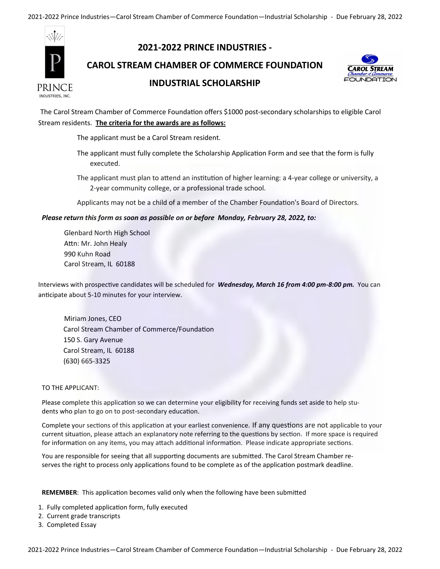2021-2022 Prince Industries—Carol Stream Chamber of Commerce Foundation—Industrial Scholarship - Due February 28, 2022



# **2021-2022 PRINCE INDUSTRIES -**

**CAROL STREAM CHAMBER OF COMMERCE FOUNDATION** 



### **INDUSTRIAL SCHOLARSHIP**

The Carol Stream Chamber of Commerce Foundation offers \$1000 post-secondary scholarships to eligible Carol Stream residents. **The criteria for the awards are as follows:**

The applicant must be a Carol Stream resident.

The applicant must fully complete the Scholarship Application Form and see that the form is fully executed.

The applicant must plan to attend an institution of higher learning: a 4-year college or university, a 2-year community college, or a professional trade school.

Applicants may not be a child of a member of the Chamber Foundation's Board of Directors.

#### *Please return this form as soon as possible on or before Monday, February 28, 2022, to:*

Glenbard North High School Attn: Mr. John Healy 990 Kuhn Road Carol Stream, IL 60188

Interviews with prospective candidates will be scheduled for *Wednesday, March 16 from 4:00 pm-8:00 pm.* You can anticipate about 5-10 minutes for your interview.

Miriam Jones, CEO Carol Stream Chamber of Commerce/Foundation 150 S. Gary Avenue Carol Stream, IL 60188 (630) 665-3325

#### TO THE APPLICANT:

Please complete this application so we can determine your eligibility for receiving funds set aside to help students who plan to go on to post-secondary education.

Complete your sections of this application at your earliest convenience. If any questions are not applicable to your current situation, please attach an explanatory note referring to the questions by section. If more space is required for information on any items, you may attach additional information. Please indicate appropriate sections.

You are responsible for seeing that all supporting documents are submitted. The Carol Stream Chamber reserves the right to process only applications found to be complete as of the application postmark deadline.

**REMEMBER**: This application becomes valid only when the following have been submitted

- 1. Fully completed application form, fully executed
- 2. Current grade transcripts
- 3. Completed Essay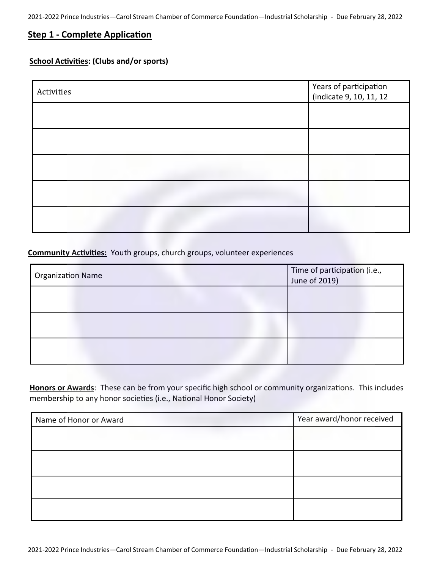## **Step 1 - Complete Application**

### **School Activities: (Clubs and/or sports)**

| Activities | Years of participation<br>(indicate 9, 10, 11, 12 |
|------------|---------------------------------------------------|
|            |                                                   |
|            |                                                   |
|            |                                                   |
|            |                                                   |
|            |                                                   |

### **Community Activities:** Youth groups, church groups, volunteer experiences

| Organization Name | Time of participation (i.e.,<br>June of 2019) |
|-------------------|-----------------------------------------------|
|                   |                                               |
|                   |                                               |
|                   |                                               |

**Honors or Awards**: These can be from your specific high school or community organizations. This includes membership to any honor societies (i.e., National Honor Society)

| Name of Honor or Award | Year award/honor received |
|------------------------|---------------------------|
|                        |                           |
|                        |                           |
|                        |                           |
|                        |                           |